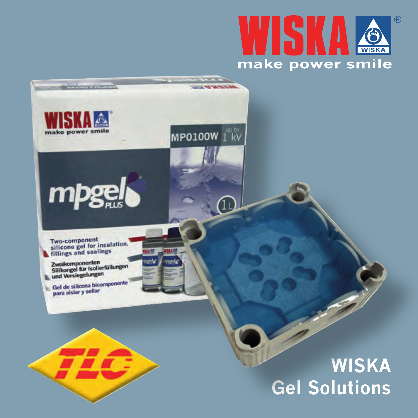



### **WISKA Gel Solutions**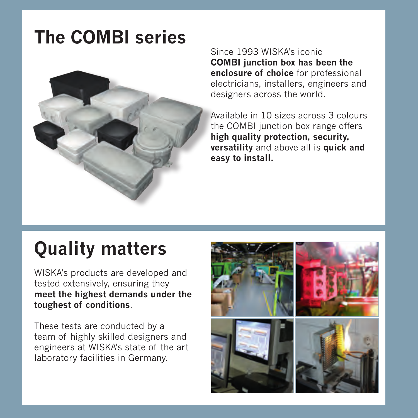#### **The COMBI series**



Since 1993 WISKA's iconic **COMBI junction box has been the enclosure of choice** for professional electricians, installers, engineers and designers across the world.

Available in 10 sizes across 3 colours the COMBI junction box range offers **high quality protection, security, versatility** and above all is **quick and easy to install.**

### **Quality matters**

WISKA's products are developed and tested extensively, ensuring they **meet the highest demands under the toughest of conditions**.

These tests are conducted by a team of highly skilled designers and engineers at WISKA's state of the art laboratory facilities in Germany.

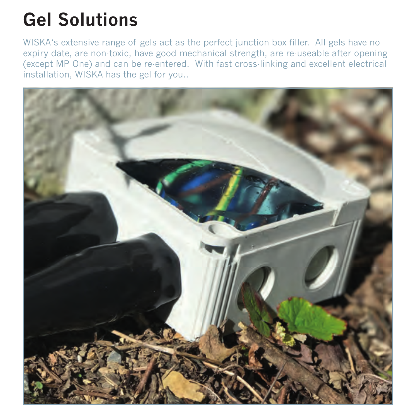### **Gel Solutions**

WISKA's extensive range of gels act as the perfect junction box filler. All gels have no expiry date, are non-toxic, have good mechanical strength, are re-useable after opening (except MP One) and can be re-entered. With fast cross-linking and excellent electrical installation, WISKA has the gel for you..

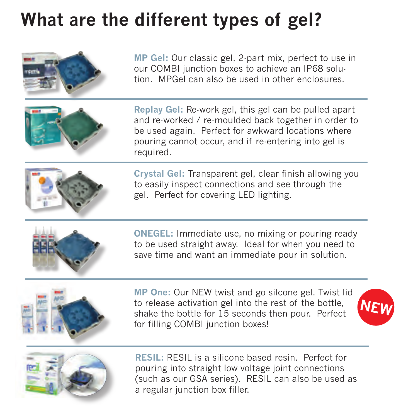### **What are the different types of gel?**



**MP Gel:** Our classic gel, 2-part mix, perfect to use in our COMBI junction boxes to achieve an IP68 solution. MPGel can also be used in other enclosures.



**Replay Gel:** Re-work gel, this gel can be pulled apart and re-worked / re-moulded back together in order to be used again. Perfect for awkward locations where pouring cannot occur, and if re-entering into gel is required.



**Crystal Gel:** Transparent gel, clear finish allowing you to easily inspect connections and see through the gel. Perfect for covering LED lighting.



**ONEGEL:** Immediate use, no mixing or pouring ready to be used straight away. Ideal for when you need to save time and want an immediate pour in solution.



**MP One:** Our NEW twist and go silcone gel. Twist lid to release activation gel into the rest of the bottle, shake the bottle for 15 seconds then pour. Perfect for filling COMBI junction boxes!





**RESIL:** RESIL is a silicone based resin. Perfect for pouring into straight low voltage joint connections (such as our GSA series). RESIL can also be used as a regular junction box filler.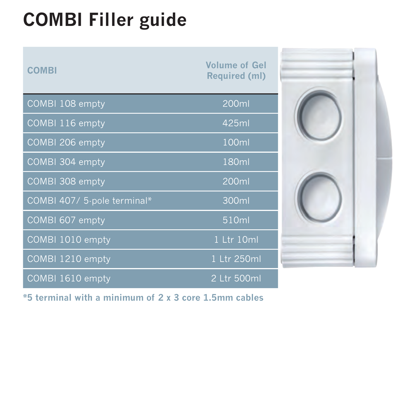## **COMBI Filler guide**

| <b>COMBI</b>                | <b>Volume of Gel</b><br>Required (ml) |  |
|-----------------------------|---------------------------------------|--|
| COMBI 108 empty             | 200ml                                 |  |
| COMBI 116 empty             | 425ml                                 |  |
| COMBI 206 empty             | 100ml                                 |  |
| COMBI 304 empty             | 180ml                                 |  |
| COMBI 308 empty             | 200ml                                 |  |
| COMBI 407/ 5-pole terminal* | 300ml                                 |  |
| COMBI 607 empty             | 510ml                                 |  |
| COMBI 1010 empty            | 1 Ltr 10ml                            |  |
| COMBI 1210 empty            | 1 Ltr 250ml                           |  |
| COMBI 1610 empty            | 2 Ltr 500ml                           |  |

**\*5 terminal with a minimum of 2 x 3 core 1.5mm cables**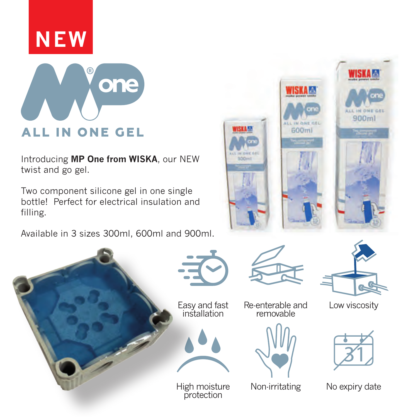# **NEW**



Introducing **MP One from WISKA**, our NEW twist and go gel.

Two component silicone gel in one single bottle! Perfect for electrical insulation and filling.

Available in 3 sizes 300ml, 600ml and 900ml.









Non-irritating No expiry date



Easy and fast installation



Re-enterable and Low viscosity<br>removable



High moisture protection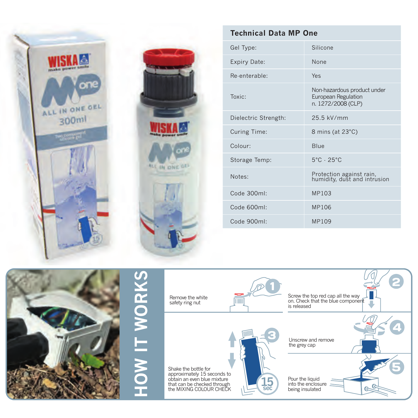

**HOW IT WORKS**

OW IT WOR

τ

| <b>Technical Data MP One</b> |                                                                          |  |  |  |
|------------------------------|--------------------------------------------------------------------------|--|--|--|
| Gel Type:                    | Silicone                                                                 |  |  |  |
| <b>Expiry Date:</b>          | None                                                                     |  |  |  |
| Re-enterable:                | Yes                                                                      |  |  |  |
| Toxic:                       | Non-hazardous product under<br>European Regulation<br>n. 1272/2008 (CLP) |  |  |  |
| Dielectric Strength:         | 25.5 kV/mm                                                               |  |  |  |
| Curing Time:                 | 8 mins (at 23°C)                                                         |  |  |  |
| Colour:                      | Blue                                                                     |  |  |  |
| Storage Temp:                | $5^{\circ}$ C $\cdot$ 25 $^{\circ}$ C                                    |  |  |  |
| Notes:                       | Protection against rain,<br>humidity, dust and intrusion                 |  |  |  |
| Code 300ml:                  | MP103                                                                    |  |  |  |
| Code 600ml:                  | MP106                                                                    |  |  |  |
| Code 900ml:                  | MP109                                                                    |  |  |  |

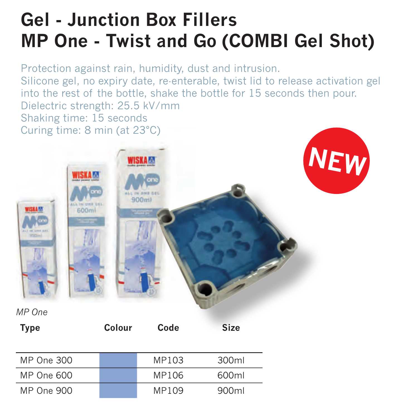### **Gel - Junction Box Fillers MP One - Twist and Go (COMBI Gel Shot)**

Protection against rain, humidity, dust and intrusion. Silicone gel, no expiry date, re-enterable, twist lid to release activation gel into the rest of the bottle, shake the bottle for 15 seconds then pour. Dielectric strength: 25.5 kV/mm Shaking time: 15 seconds Curing time: 8 min (at 23°C)



| Type       | Colour | Code  | Size              |
|------------|--------|-------|-------------------|
| MP One 300 |        | MP103 | 300 <sub>ml</sub> |
| MP One 600 |        | MP106 | 600ml             |
| MP One 900 |        | MP109 | 900ml             |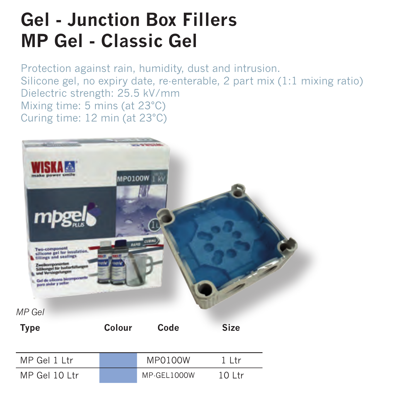#### **Gel - Junction Box Fillers MP Gel - Classic Gel**

Protection against rain, humidity, dust and intrusion. Silicone gel, no expiry date, re-enterable, 2 part mix (1:1 mixing ratio) Dielectric strength: 25.5 kV/mm Mixing time: 5 mins (at 23°C) Curing time: 12 min (at 23°C)



| MP Gel 1 I tr | MP0100W     | 1   tr  |
|---------------|-------------|---------|
| MP Gel 10 Ltr | MP-GFL1000W | 10 I tr |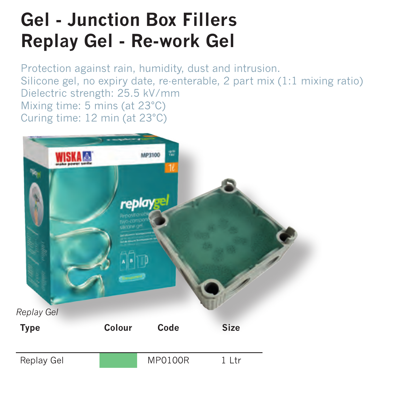#### **Gel - Junction Box Fillers Replay Gel - Re-work Gel**

Protection against rain, humidity, dust and intrusion. Silicone gel, no expiry date, re-enterable, 2 part mix (1:1 mixing ratio) Dielectric strength: 25.5 kV/mm Mixing time: 5 mins (at 23°C) Curing time: 12 min (at 23°C)

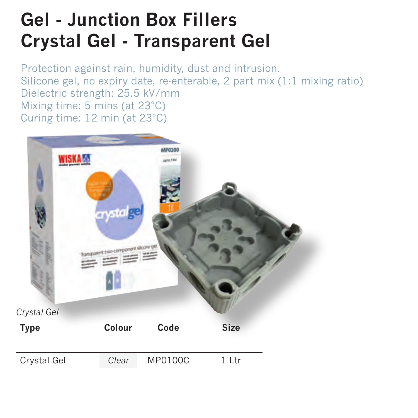### **Gel - Junction Box Fillers Crystal Gel - Transparent Gel**

Protection against rain, humidity, dust and intrusion. Silicone gel, no expiry date, re-enterable, 2 part mix (1:1 mixing ratio) Dielectric strength: 25.5 kV/mm Mixing time: 5 mins (at 23°C) Curing time: 12 min (at 23°C)

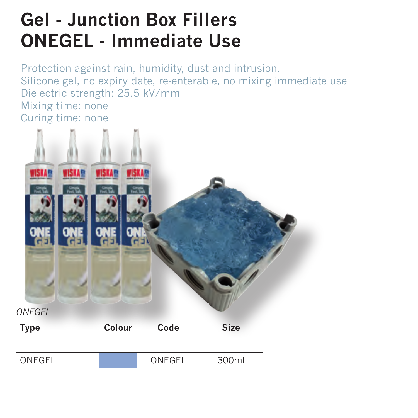### **Gel - Junction Box Fillers ONEGEL - Immediate Use**

Protection against rain, humidity, dust and intrusion. Silicone gel, no expiry date, re-enterable, no mixing immediate use Dielectric strength: 25.5 kV/mm Mixing time: none Curing time: none

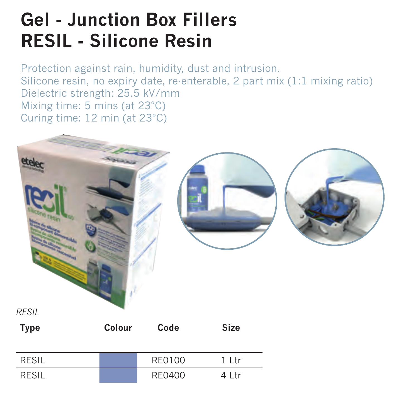#### **Gel - Junction Box Fillers RESIL - Silicone Resin**

Protection against rain, humidity, dust and intrusion. Silicone resin, no expiry date, re-enterable, 2 part mix (1:1 mixing ratio) Dielectric strength: 25.5 kV/mm Mixing time: 5 mins (at 23°C) Curing time: 12 min (at 23°C)

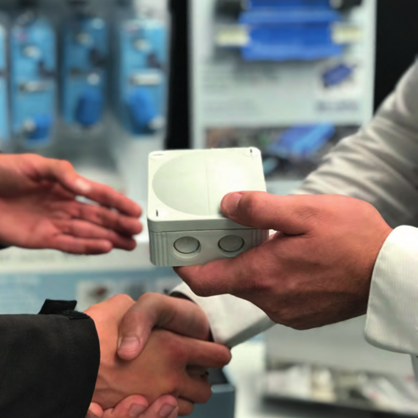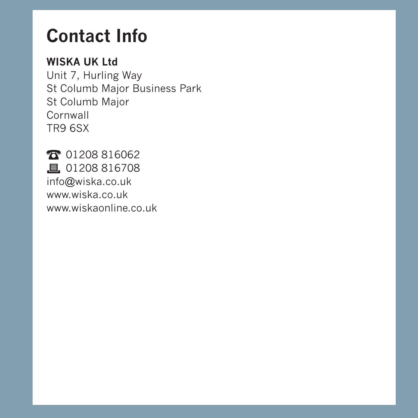#### **Contact Info**

#### **WISKA UK Ltd**

Unit 7, Hurling Way St Columb Major Business Park St Columb Major Cornwall TR9 6SX

**01208 816062**  01208 816708 info@wiska.co.uk www.wiska.co.uk www.wiskaonline.co.uk